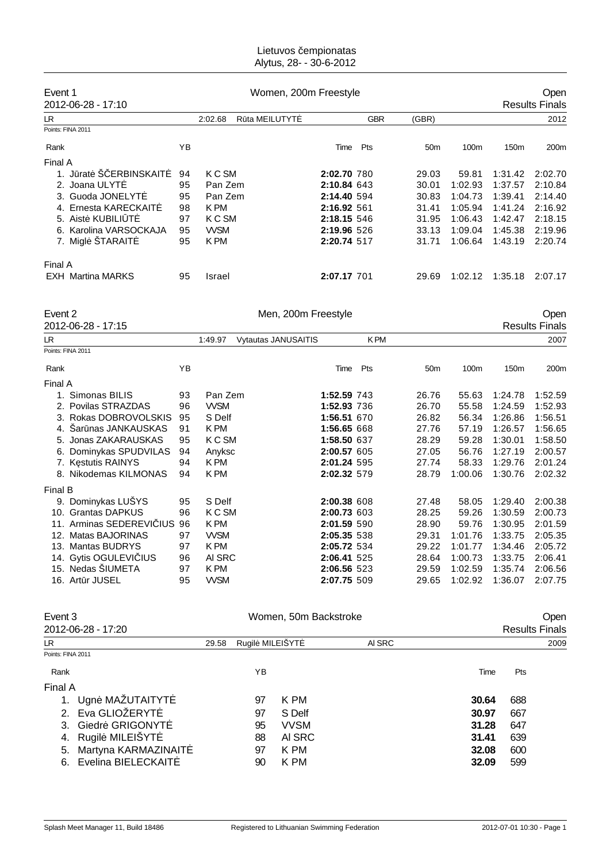#### Lietuvos empionatas Alytus, 28- - 30-6-2012

| Event 1                  |    |                          | Women, 200m Freestyle |            |                 |         |                  |                       |
|--------------------------|----|--------------------------|-----------------------|------------|-----------------|---------|------------------|-----------------------|
| 2012-06-28 - 17:10       |    |                          |                       |            |                 |         |                  | <b>Results Finals</b> |
| LR.                      |    | R ta MEILUTYT<br>2:02.68 |                       | <b>GBR</b> | (GBR)           |         |                  | 2012                  |
| Points: FINA 2011        |    |                          |                       |            |                 |         |                  |                       |
| Rank                     | ΥB |                          | Time                  | Pts        | 50 <sub>m</sub> | 100m    | 150 <sub>m</sub> | 200 <sub>m</sub>      |
| Final A                  |    |                          |                       |            |                 |         |                  |                       |
| rat S ERBINSKAIT         | 94 | K C SM                   | 2:02.70 780           |            | 29.03           | 59.81   | 1:31.42          | 2:02.70               |
| 2. Joana ULYT            | 95 | Pan Zem                  | 2:10.84 643           |            | 30.01           | 1:02.93 | 1:37.57          | 2:10.84               |
| 3. Guoda JONELYT         | 95 | Pan Zem                  | 2:14.40 594           |            | 30.83           | 1:04.73 | 1:39.41          | 2:14.40               |
| 4. Ernesta KARECKAIT     | 98 | K PM                     | 2:16.92 561           |            | 31.41           | 1:05.94 | 1:41.24          | 2:16.92               |
| 5. Aist KUBILI T         | 97 | K C SM                   | 2:18.15 546           |            | 31.95           | 1:06.43 | 1:42.47          | 2:18.15               |
| 6. Karolina VARSOCKAJA   | 95 | <b>WSM</b>               | 2:19.96 526           |            | 33.13           | 1:09.04 | 1:45.38          | 2:19.96               |
| 7. Migl ŠTARAIT          | 95 | K PM                     | 2:20.74 517           |            | 31.71           | 1:06.64 | 1:43.19          | 2:20.74               |
| Final A                  |    |                          |                       |            |                 |         |                  |                       |
| <b>EXH</b> Martina MARKS | 95 | Israel                   | 2:07.17 701           |            | 29.69           | 1:02.12 | 1:35.18          | 2:07.17               |

Event 2 Com Freestyle Company of the Company of the Company of the Company of the Company of the Company of the Company of the Company of the Company of the Company of the Company of the Company of the Company of the Compa

2012-06-28 - 17:15

| LR      |                             |    | 1:49.97    | <b>Vytautas JANUSAITIS</b> |             | <b>KPM</b> |                 |         |         | 2007    |
|---------|-----------------------------|----|------------|----------------------------|-------------|------------|-----------------|---------|---------|---------|
|         | Points: FINA 2011           |    |            |                            |             |            |                 |         |         |         |
| Rank    |                             | ΥB |            |                            | Time        | Pts        | 50 <sub>m</sub> | 100m    | 150m    | 200m    |
| Final A |                             |    |            |                            |             |            |                 |         |         |         |
|         | 1. Simonas BILIS            | 93 | Pan Zem    |                            | 1:52.59 743 |            | 26.76           | 55.63   | 1:24.78 | 1:52.59 |
|         | 2. Povilas STRAZDAS         | 96 | <b>WSM</b> |                            | 1:52.93 736 |            | 26.70           | 55.58   | 1:24.59 | 1:52.93 |
|         | 3. Rokas DOBROVOLSKIS       | 95 | S Delf     |                            | 1:56.51 670 |            | 26.82           | 56.34   | 1:26.86 | 1:56.51 |
|         | 4. Sar nas JANKAUSKAS       | 91 | K PM       |                            | 1:56.65 668 |            | 27.76           | 57.19   | 1:26.57 | 1:56.65 |
|         | 5. Jonas ZAKARAUSKAS        | 95 | K C SM     |                            | 1:58.50 637 |            | 28.29           | 59.28   | 1:30.01 | 1:58.50 |
|         | 6. Dominykas SPUDVILAS      | 94 | Anyksc     |                            | 2:00.57 605 |            | 27.05           | 56.76   | 1:27.19 | 2:00.57 |
|         | 7. K stutis RAINYS          | 94 | K PM       |                            | 2:01.24 595 |            | 27.74           | 58.33   | 1:29.76 | 2:01.24 |
|         | 8. Nikodemas KILMONAS       | 94 | K PM       |                            | 2:02.32 579 |            | 28.79           | 1:00.06 | 1:30.76 | 2:02.32 |
| Final B |                             |    |            |                            |             |            |                 |         |         |         |
|         | 9. Dominykas LUŠYS          | 95 | S Delf     |                            | 2:00.38 608 |            | 27.48           | 58.05   | 1:29.40 | 2:00.38 |
|         | 10. Grantas DAPKUS          | 96 | K C SM     |                            | 2:00.73 603 |            | 28.25           | 59.26   | 1:30.59 | 2:00.73 |
|         | 11. Arminas SEDEREVI IUS 96 |    | K PM       |                            | 2:01.59 590 |            | 28.90           | 59.76   | 1:30.95 | 2:01.59 |
|         | 12. Matas BAJORINAS         | 97 | <b>WSM</b> |                            | 2:05.35 538 |            | 29.31           | 1:01.76 | 1:33.75 | 2:05.35 |
|         | 13. Mantas BUDRYS           | 97 | K PM       |                            | 2:05.72 534 |            | 29.22           | 1:01.77 | 1:34.46 | 2:05.72 |
|         | 14. Gytis OGULEVI IUS       | 96 | AI SRC     |                            | 2:06.41 525 |            | 28.64           | 1:00.73 | 1:33.75 | 2:06.41 |
|         | 15. Nedas SIUMETA           | 97 | K PM       |                            | 2:06.56 523 |            | 29.59           | 1:02.59 | 1:35.74 | 2:06.56 |
|         | 16. Art r JUSEL             | 95 | <b>WSM</b> |                            | 2:07.75 509 |            | 29.65           | 1:02.92 | 1:36.07 | 2:07.75 |

| Event 3<br>2012-06-28 - 17:20  |                         | Women, 50m Backstroke |        |       | Open<br><b>Results Finals</b> |
|--------------------------------|-------------------------|-----------------------|--------|-------|-------------------------------|
| LR                             | Rugil MILEIŠYT<br>29.58 |                       | AI SRC |       | 2009                          |
| Points: FINA 2011              |                         |                       |        |       |                               |
| Rank                           | ΥB                      |                       |        | Time  | Pts                           |
| Final A                        |                         |                       |        |       |                               |
| Ugn MAZUTAITYT                 | 97                      | K PM                  |        | 30.64 | 688                           |
| Eva GLIOŽERYT<br>2.            | 97                      | S Delf                |        | 30.97 | 667                           |
| Giedr GRIGONYT<br>$\mathbf{3}$ | 95                      | <b>VVSM</b>           |        | 31.28 | 647                           |
| Rugil MILEIŠYT<br>4.           | 88                      | AI SRC                |        | 31.41 | 639                           |
| Martyna KARMAZINAIT<br>5.      | 97                      | K PM                  |        | 32.08 | 600                           |
| Evelina BIELECKAIT<br>6.       | 90                      | K PM                  |        | 32.09 | 599                           |
|                                |                         |                       |        |       |                               |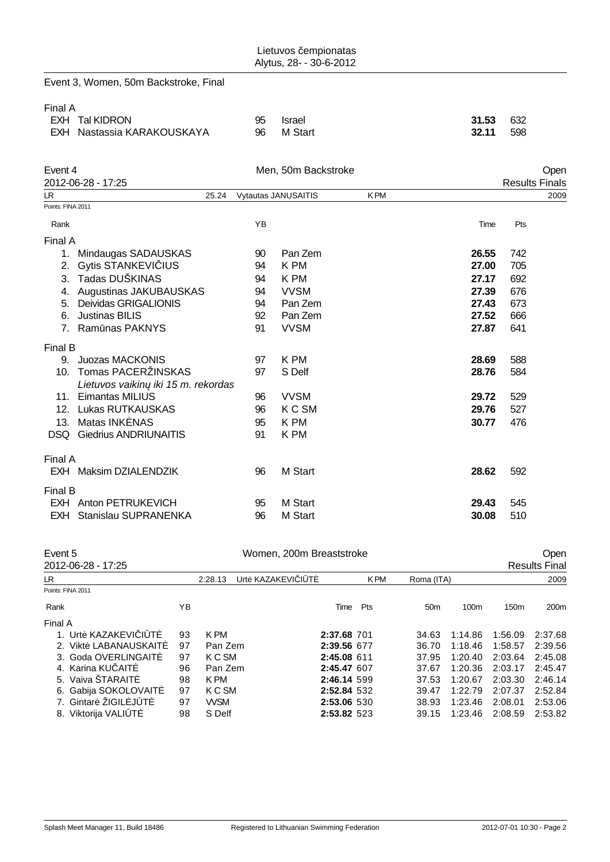|                   | Event 3, Women, 50m Backstroke, Final               |          |                          |            |                |                               |
|-------------------|-----------------------------------------------------|----------|--------------------------|------------|----------------|-------------------------------|
| Final A           | <b>EXH Tal KIDRON</b><br>EXH Nastassia KARAKOUSKAYA | 95<br>96 | <b>Israel</b><br>M Start |            | 31.53<br>32.11 | 632<br>598                    |
| Event 4           | 2012-06-28 - 17:25                                  |          | Men, 50m Backstroke      |            |                | Open<br><b>Results Finals</b> |
| LR                | 25.24                                               |          | Vytautas JANUSAITIS      | <b>KPM</b> |                | 2009                          |
| Points: FINA 2011 |                                                     |          |                          |            |                |                               |
| Rank              |                                                     | YB       |                          |            | Time           | Pts                           |
| Final A           |                                                     |          |                          |            |                |                               |
|                   | 1. Mindaugas SADAUSKAS                              | 90       | Pan Zem                  |            | 26.55          | 742                           |
| 2.                | <b>Gytis STANKEVI IUS</b>                           | 94       | K PM                     |            | 27.00          | 705                           |
|                   | 3. Tadas DUŠKINAS                                   | 94       | K PM                     |            | 27.17          | 692                           |
|                   | 4. Augustinas JAKUBAUSKAS                           | 94       | <b>VVSM</b>              |            | 27.39          | 676                           |
|                   | 5. Deividas GRIGALIONIS                             | 94       | Pan Zem                  |            | 27.43          | 673                           |
| 6.                | <b>Justinas BILIS</b>                               | 92       | Pan Zem                  |            | 27.52          | 666                           |
|                   | 7. Ram nas PAKNYS                                   | 91       | <b>VVSM</b>              |            | 27.87          | 641                           |
| Final B           |                                                     |          |                          |            |                |                               |
|                   | 9. Juozas MACKONIS                                  | 97       | K PM                     |            | 28.69          | 588                           |
| 10.               | Tomas PACERŽINSKAS                                  | 97       | S Delf                   |            | 28.76          | 584                           |
|                   | Lietuvos vaikin iki 15 m. rekordas                  |          |                          |            |                |                               |
|                   | 11. Eimantas MILIUS                                 | 96       | <b>VVSM</b>              |            | 29.72          | 529                           |
|                   | 12. Lukas RUTKAUSKAS                                | 96       | K C SM                   |            | 29.76          | 527                           |
|                   | 13. Matas INK NAS                                   | 95       | K PM                     |            | 30.77          | 476                           |
|                   | <b>DSQ</b> Giedrius ANDRIUNAITIS                    | 91       | K PM                     |            |                |                               |
| Final A           |                                                     |          |                          |            |                |                               |
|                   | EXH Maksim DZIALENDZIK                              | 96       | M Start                  |            | 28.62          | 592                           |
| Final B           |                                                     |          |                          |            |                |                               |
|                   | EXH Anton PETRUKEVICH                               | 95       | M Start                  |            | 29.43          | 545                           |
|                   | <b>EXH Stanislau SUPRANENKA</b>                     | 96       | M Start                  |            | 30.08          | 510                           |
|                   |                                                     |          |                          |            |                |                               |

| Women, 200m Breaststroke<br>Event 5 |                             |            |             |      |            |                 |         | Open             |                      |  |
|-------------------------------------|-----------------------------|------------|-------------|------|------------|-----------------|---------|------------------|----------------------|--|
| 2012-06-28 - 17:25                  |                             |            |             |      |            |                 |         |                  | <b>Results Final</b> |  |
| LR.                                 | Urt KAZAKEVI I T<br>2:28.13 |            |             |      | <b>KPM</b> | Roma (ITA)      |         | 2009             |                      |  |
| Points: FINA 2011                   |                             |            |             |      |            |                 |         |                  |                      |  |
| Rank                                | YΒ                          |            |             | Time | Pts        | 50 <sub>m</sub> | 100m    | 150 <sub>m</sub> | 200 <sub>m</sub>     |  |
| Final A                             |                             |            |             |      |            |                 |         |                  |                      |  |
| 1. Urt KAZAKEVI I T                 | 93                          | K PM       | 2:37.68 701 |      |            | 34.63           | 1:14.86 | 1:56.09          | 2:37.68              |  |
| 2. Vikt LABANAUSKAIT                | 97                          | Pan Zem    | 2:39.56 677 |      |            | 36.70           | 1:18.46 | 1:58.57          | 2:39.56              |  |
| 3. Goda OVERLINGAIT                 | 97                          | K C SM     | 2:45.08 611 |      |            | 37.95           | 1:20.40 | 2:03.64          | 2:45.08              |  |
| 4. Karina KU AIT                    | 96                          | Pan Zem    | 2:45.47 607 |      |            | 37.67           | 1:20.36 | 2:03.17          | 2:45.47              |  |
| 5. Vaiva STARAIT                    | 98                          | K PM       | 2:46.14 599 |      |            | 37.53           | 1:20.67 | 2:03.30          | 2:46.14              |  |
| 6. Gabija SOKOLOVAIT                | 97                          | K C SM     | 2:52.84 532 |      |            | 39.47           | 1:22.79 | 2:07.37          | 2:52.84              |  |
| 7. Gintar ZIGIL J T                 | 97                          | <b>WSM</b> | 2:53.06 530 |      |            | 38.93           | 1:23.46 | 2:08.01          | 2:53.06              |  |
| 8. Viktorija VALI T                 | 98                          | S Delf     | 2:53.82 523 |      |            | 39.15           | 1:23.46 | 2:08.59          | 2:53.82              |  |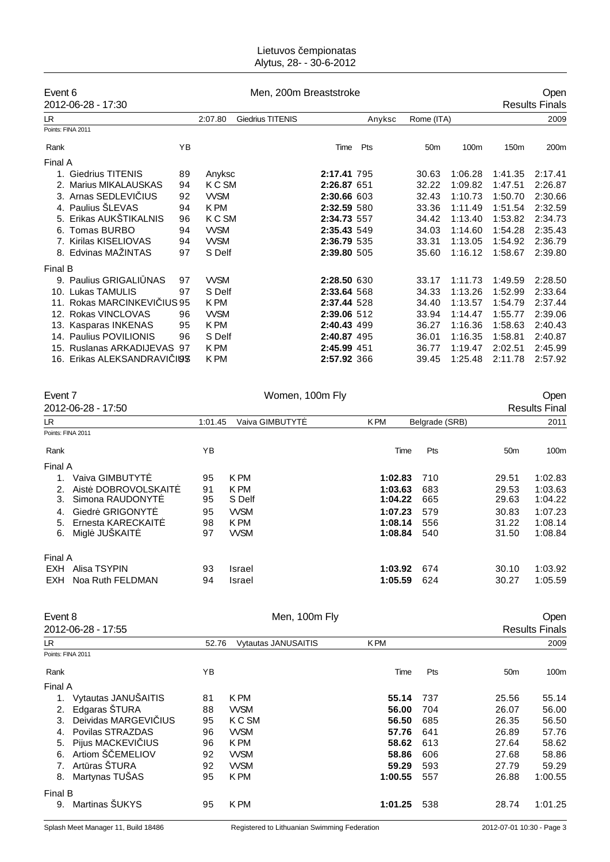#### Lietuvos empionatas Alytus, 28- - 30-6-2012

| Event 6 |                           |              | Men, 200m Breaststroke |                  |                      |     |                 | Open    |                  |                       |  |
|---------|---------------------------|--------------|------------------------|------------------|----------------------|-----|-----------------|---------|------------------|-----------------------|--|
|         | 2012-06-28 - 17:30        |              |                        |                  |                      |     |                 |         |                  | <b>Results Finals</b> |  |
| LR.     |                           |              | 2:07.80                | Giedrius TITENIS | Anyksc<br>Rome (ITA) |     |                 |         | 2009             |                       |  |
|         | Points: FINA 2011         |              |                        |                  |                      |     |                 |         |                  |                       |  |
| Rank    |                           | YB           |                        |                  | Time                 | Pts | 50 <sub>m</sub> | 100m    | 150 <sub>m</sub> | 200m                  |  |
| Final A |                           |              |                        |                  |                      |     |                 |         |                  |                       |  |
| 1.      | <b>Giedrius TITENIS</b>   | 89           | Anyksc                 |                  | 2:17.41 795          |     | 30.63           | 1:06.28 | 1:41.35          | 2:17.41               |  |
| 2.      | <b>Marius MIKALAUSKAS</b> | 94           | K C SM                 |                  | 2:26.87 651          |     | 32.22           | 1:09.82 | 1:47.51          | 2:26.87               |  |
|         | 3. Arnas SEDLEVI IUS      | 92           | <b>WSM</b>             |                  | 2:30.66 603          |     | 32.43           | 1:10.73 | 1:50.70          | 2:30.66               |  |
|         | 4. Paulius ŠLEVAS         | 94           | K PM                   |                  | 2:32.59 580          |     | 33.36           | 1:11.49 | 1:51.54          | 2:32.59               |  |
| 5.      | Erikas AUKŠTIKALNIS       | 96           | K C SM                 |                  | 2:34.73 557          |     | 34.42           | 1:13.40 | 1:53.82          | 2:34.73               |  |
| 6.      | Tomas BURBO               | 94           | <b>WSM</b>             |                  | 2:35.43 549          |     | 34.03           | 1:14.60 | 1:54.28          | 2:35.43               |  |
|         | 7. Kirilas KISELIOVAS     | 94           | <b>WSM</b>             |                  | 2:36.79 535          |     | 33.31           | 1:13.05 | 1:54.92          | 2:36.79               |  |
|         | 8. Edvinas MAŽINTAS       | 97           | S Delf                 |                  | 2:39.80 505          |     | 35.60           | 1:16.12 | 1:58.67          | 2:39.80               |  |
| Final B |                           |              |                        |                  |                      |     |                 |         |                  |                       |  |
|         | 9. Paulius GRIGALI NAS    | 97           | <b>WSM</b>             |                  | 2:28.50 630          |     | 33.17           | 1:11.73 | 1:49.59          | 2:28.50               |  |
|         | 10. Lukas TAMULIS         | 97           | S Delf                 |                  | 2:33.64 568          |     | 34.33           | 1:13.26 | 1:52.99          | 2:33.64               |  |
| 11.     | Rokas MARCINKEVI          | <b>IUS95</b> | K PM                   |                  | 2:37.44 528          |     | 34.40           | 1:13.57 | 1:54.79          | 2:37.44               |  |
|         | 12. Rokas VINCLOVAS       | 96           | <b>WSM</b>             |                  | 2:39.06 512          |     | 33.94           | 1:14.47 | 1:55.77          | 2:39.06               |  |
|         | 13. Kasparas INKENAS      | 95           | K PM                   |                  | 2:40.43 499          |     | 36.27           | 1:16.36 | 1:58.63          | 2:40.43               |  |
|         | 14. Paulius POVILIONIS    | 96           | S Delf                 |                  | 2:40.87 495          |     | 36.01           | 1:16.35 | 1:58.81          | 2:40.87               |  |
| 15.     | Ruslanas ARKADIJEVAS      | 97           | K PM                   |                  | 2:45.99 451          |     | 36.77           | 1:19.47 | 2:02.51          | 2:45.99               |  |
| 16.     | Erikas ALEKSANDRAVI       | 198          | K PM                   |                  | 2:57.92 366          |     | 39.45           | 1:25.48 | 2:11.78          | 2:57.92               |  |

| Event 7                        |         | Women, 100m Fly |            | Open           |                 |                      |
|--------------------------------|---------|-----------------|------------|----------------|-----------------|----------------------|
| 2012-06-28 - 17:50             |         |                 |            |                |                 | <b>Results Final</b> |
| LR.                            | 1:01.45 | Vaiva GIMBUTYT  | <b>KPM</b> | Belgrade (SRB) |                 | 2011                 |
| Points: FINA 2011              |         |                 |            |                |                 |                      |
| Rank                           | YB      |                 | Time       | Pts            | 50 <sub>m</sub> | 100m                 |
| Final A                        |         |                 |            |                |                 |                      |
| Vaiva GIMBUTYT<br>1.           | 95      | K PM            | 1:02.83    | 710            | 29.51           | 1:02.83              |
| Aist DOBROVOLSKAIT<br>2.       | 91      | K PM            | 1:03.63    | 683            | 29.53           | 1:03.63              |
| Simona RAUDONYT<br>3.          | 95      | S Delf          | 1:04.22    | 665            | 29.63           | 1:04.22              |
| Giedr GRIGONYT<br>4.           | 95      | <b>WSM</b>      | 1:07.23    | 579            | 30.83           | 1:07.23              |
| Ernesta KARECKAIT<br>5.        | 98      | K PM            | 1:08.14    | 556            | 31.22           | 1:08.14              |
| Migl JUŠKAIT<br>6.             | 97      | <b>WSM</b>      | 1:08.84    | 540            | 31.50           | 1:08.84              |
| Final A                        |         |                 |            |                |                 |                      |
| <b>EXH</b> Alisa TSYPIN        | 93      | Israel          | 1:03.92    | 674            | 30.10           | 1:03.92              |
| Noa Ruth FELDMAN<br><b>EXH</b> | 94      | Israel          | 1:05.59    | 624            | 30.27           | 1:05.59              |
| $E_{V\cap D}$ + $\Omega$       |         | $Mon 100m EW$   |            |                |                 | Onon                 |

| Event 8<br>Men, 100m Fly |                      |       |                            |            |     | Open            |                       |
|--------------------------|----------------------|-------|----------------------------|------------|-----|-----------------|-----------------------|
|                          | 2012-06-28 - 17:55   |       |                            |            |     |                 | <b>Results Finals</b> |
| LR.                      |                      | 52.76 | <b>Vytautas JANUSAITIS</b> | <b>KPM</b> |     |                 | 2009                  |
|                          | Points: FINA 2011    |       |                            |            |     |                 |                       |
| Rank                     |                      | YB    |                            | Time       | Pts | 50 <sub>m</sub> | 100m                  |
| Final A                  |                      |       |                            |            |     |                 |                       |
| 1.                       | Vytautas JANUŠAITIS  | 81    | K PM                       | 55.14      | 737 | 25.56           | 55.14                 |
| 2.                       | Edgaras ŠTURA        | 88    | <b>WSM</b>                 | 56.00      | 704 | 26.07           | 56.00                 |
| 3.                       | Deividas MARGEVI IUS | 95    | K C SM                     | 56.50      | 685 | 26.35           | 56.50                 |
|                          | Povilas STRAZDAS     | 96    | <b>WSM</b>                 | 57.76      | 641 | 26.89           | 57.76                 |
| 5.                       | Pijus MACKEVI IUS    | 96    | K PM                       | 58.62      | 613 | 27.64           | 58.62                 |
| 6.                       | Artiom Š EMELIOV     | 92    | <b>WSM</b>                 | 58.86      | 606 | 27.68           | 58.86                 |
| 7.                       | Art ras STURA        | 92    | <b>WSM</b>                 | 59.29      | 593 | 27.79           | 59.29                 |
| 8.                       | Martynas TUŠAS       | 95    | K PM                       | 1:00.55    | 557 | 26.88           | 1:00.55               |
| Final B                  |                      |       |                            |            |     |                 |                       |
| 9.                       | Martinas ŠUKYS       | 95    | K PM                       | 1:01.25    | 538 | 28.74           | 1:01.25               |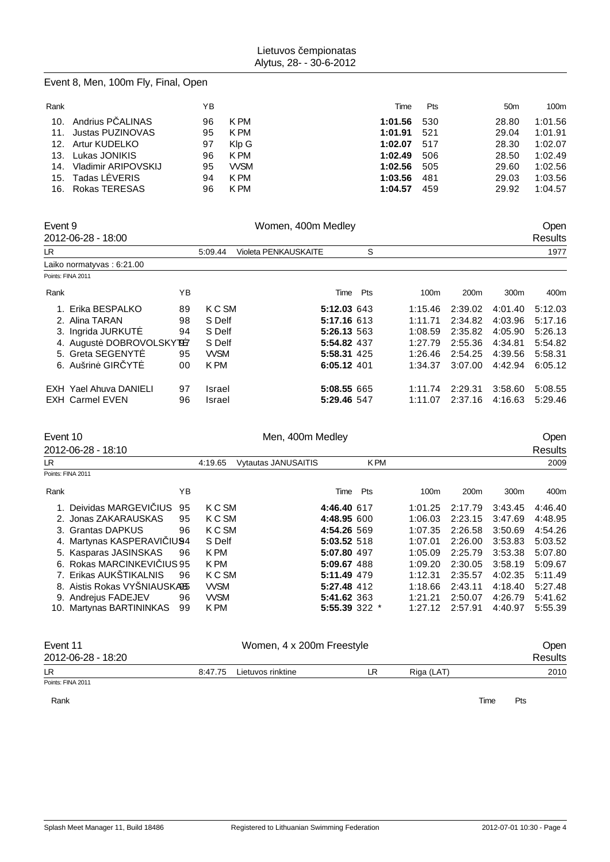# Event 8, Men, 100m Fly, Final, Open

| Rank |                         | ΥB |            | Time        | <b>Pts</b> | 50 <sub>m</sub> | 100m    |
|------|-------------------------|----|------------|-------------|------------|-----------------|---------|
|      | 10. Andrius P ALINAS    | 96 | K PM       | 1:01.56 530 |            | 28.80           | 1:01.56 |
|      | 11. Justas PUZINOVAS    | 95 | K PM       | 1:01.91     | 521        | 29.04           | 1:01.91 |
|      | 12. Artur KUDELKO       | 97 | Klp G      | 1:02.07 517 |            | 28.30           | 1:02.07 |
|      | 13. Lukas JONIKIS       | 96 | K PM       | 1:02.49     | 506        | 28.50           | 1:02.49 |
|      | 14. Vladimir ARIPOVSKIJ | 95 | <b>WSM</b> | 1:02.56     | 505        | 29.60           | 1:02.56 |
|      | 15. Tadas L VERIS       | 94 | K PM       | 1:03.56     | - 481      | 29.03           | 1:03.56 |
|      | 16. Rokas TERESAS       | 96 | K PM       | 1:04.57     | 459        | 29.92           | 1:04.57 |

| Event 9 | 2012-06-28 - 18:00            |    |            | Women, 400m Medley   |             |     |         |                  |         | <b>Open</b><br>Results |
|---------|-------------------------------|----|------------|----------------------|-------------|-----|---------|------------------|---------|------------------------|
| LR.     |                               |    | 5:09.44    | Violeta PENKAUSKAITE |             | S   |         |                  |         | 1977                   |
|         | Laiko normatyvas: 6:21.00     |    |            |                      |             |     |         |                  |         |                        |
|         | Points: FINA 2011             |    |            |                      |             |     |         |                  |         |                        |
| Rank    |                               | ΥB |            |                      | Time        | Pts | 100m    | 200 <sub>m</sub> | 300m    | 400m                   |
|         | 1. Erika BESPALKO             | 89 | K C SM     |                      | 5:12.03 643 |     | 1:15.46 | 2:39.02          | 4:01.40 | 5:12.03                |
|         | 2. Alina TARAN                | 98 | S Delf     |                      | 5:17.16 613 |     | 1:11.71 | 2:34.82          | 4:03.96 | 5:17.16                |
|         | 3. Ingrida JURKUT             | 94 | S Delf     |                      | 5:26.13 563 |     | 1:08.59 | 2:35.82          | 4:05.90 | 5:26.13                |
|         | 4. August DOBROVOLSKY B7      |    | S Delf     |                      | 5:54.82 437 |     | 1:27.79 | 2:55.36          | 4:34.81 | 5:54.82                |
|         | 5. Greta SEGENYT              | 95 | <b>WSM</b> |                      | 5:58.31 425 |     | 1:26.46 | 2:54.25          | 4:39.56 | 5:58.31                |
|         | 6. Aušrin GIR YT              | 00 | K PM       |                      | 6:05.12 401 |     | 1:34.37 | 3:07.00          | 4:42.94 | 6:05.12                |
|         | <b>EXH Yael Ahuva DANIELI</b> | 97 | Israel     |                      | 5:08.55 665 |     | 1:11.74 | 2:29.31          | 3:58.60 | 5:08.55                |
|         | <b>EXH Carmel EVEN</b>        | 96 | Israel     |                      | 5:29.46 547 |     | 1:11.07 | 2:37.16          | 4:16.63 | 5:29.46                |

| Event 10 |                                      |    | Men, 400m Medley |                            |               |            |                  |                  | Open             |         |  |
|----------|--------------------------------------|----|------------------|----------------------------|---------------|------------|------------------|------------------|------------------|---------|--|
|          | 2012-06-28 - 18:10                   |    |                  |                            |               |            |                  |                  |                  | Results |  |
| LR.      |                                      |    | 4:19.65          | <b>Vytautas JANUSAITIS</b> |               | <b>KPM</b> |                  |                  |                  | 2009    |  |
|          | Points: FINA 2011                    |    |                  |                            |               |            |                  |                  |                  |         |  |
| Rank     |                                      | YΒ |                  |                            | Time          | Pts        | 100 <sub>m</sub> | 200 <sub>m</sub> | 300 <sub>m</sub> | 400m    |  |
|          | Deividas MARGEVI IUS                 | 95 | K C SM           |                            | 4:46.40 617   |            | 1:01.25          | 2:17.79          | 3:43.45          | 4:46.40 |  |
|          | 2. Jonas ZAKARAUSKAS                 | 95 | K C SM           |                            | 4:48.95 600   |            | 1:06.03          | 2:23.15          | 3:47.69          | 4:48.95 |  |
|          | 3. Grantas DAPKUS                    | 96 | K C SM           |                            | 4:54.26 569   |            | 1:07.35          | 2:26.58          | 3:50.69          | 4:54.26 |  |
|          | 4. Martynas KASPERAVI<br><b>IU94</b> |    | S Delf           |                            | 5:03.52 518   |            | 1:07.01          | 2:26.00          | 3:53.83          | 5:03.52 |  |
|          | 5. Kasparas JASINSKAS                | 96 | K PM             |                            | 5:07.80 497   |            | 1:05.09          | 2:25.79          | 3:53.38          | 5:07.80 |  |
|          | 6. Rokas MARCINKEVI IUS 95           |    | K PM             |                            | 5:09.67 488   |            | 1:09.20          | 2:30.05          | 3:58.19          | 5:09.67 |  |
|          | 7. Erikas AUKŠTIKALNIS               | 96 | K C SM           |                            | 5:11.49 479   |            | 1:12.31          | 2:35.57          | 4:02.35          | 5:11.49 |  |
|          | 8. Aistis Rokas VYSNIAUSKA85         |    | <b>WSM</b>       |                            | 5:27.48 412   |            | 1:18.66          | 2:43.11          | 4:18.40          | 5:27.48 |  |
|          | 9. Andrejus FADEJEV                  | 96 | <b>WSM</b>       |                            | 5:41.62 363   |            | 1:21.21          | 2:50.07          | 4:26.79          | 5:41.62 |  |
|          | 10. Martynas BARTININKAS             | 99 | K PM             |                            | 5:55.39 322 * |            | 1:27.12          | 2:57.91          | 4:40.97          | 5:55.39 |  |
|          |                                      |    |                  |                            |               |            |                  |                  |                  |         |  |
|          |                                      |    |                  |                            |               |            |                  |                  |                  |         |  |

| Event 11           |         | <b>Open</b>       |  |            |         |
|--------------------|---------|-------------------|--|------------|---------|
| 2012-06-28 - 18:20 |         |                   |  |            | Results |
| LR                 | 8:47.75 | Lietuvos rinktine |  | Riga (LAT) | 2010    |
| Points: FINA 2011  |         |                   |  |            |         |

Rank **Time Pts**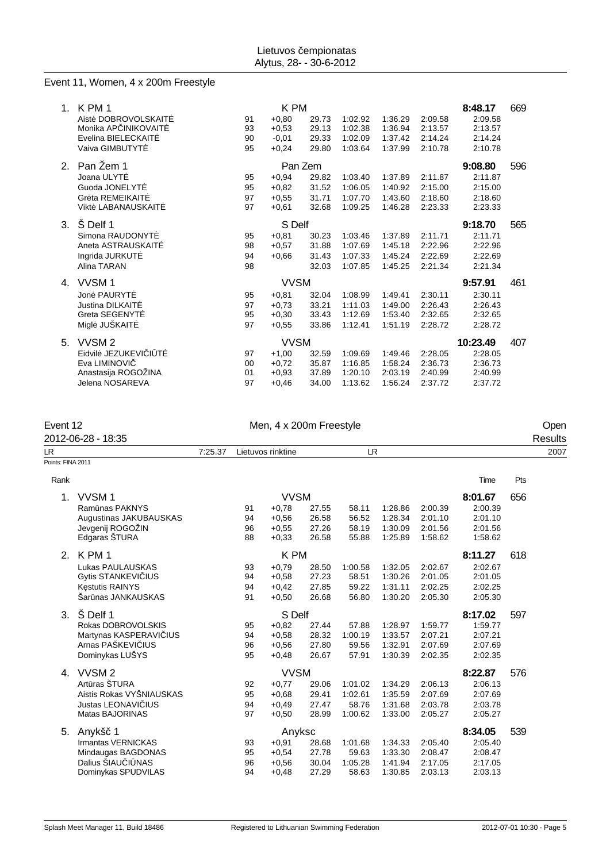### Event 11, Women, 4 x 200m Freestyle

| $1_{-}$ | K PM 1              | K PM        |         |       |         |         | 8:48.17<br>669 |         |     |
|---------|---------------------|-------------|---------|-------|---------|---------|----------------|---------|-----|
|         | Aist DOBROVOLSKAIT  | 91          | $+0.80$ | 29.73 | 1:02.92 | 1:36.29 | 2:09.58        | 2:09.58 |     |
|         | Monika AP INIKOVAIT | 93          | $+0,53$ | 29.13 | 1:02.38 | 1:36.94 | 2:13.57        | 2:13.57 |     |
|         | Evelina BIELECKAIT  | 90          | $-0,01$ | 29.33 | 1:02.09 | 1:37.42 | 2:14.24        | 2:14.24 |     |
|         | Vaiva GIMBUTYT      | 95          | $+0,24$ | 29.80 | 1:03.64 | 1:37.99 | 2:10.78        | 2:10.78 |     |
| 2.      | Pan Zem 1           | Pan Zem     |         |       |         |         |                | 9:08.80 | 596 |
|         | Joana ULYT          | 95          | $+0.94$ | 29.82 | 1:03.40 | 1:37.89 | 2:11.87        | 2:11.87 |     |
|         | Guoda JONELYT       | 95          | $+0.82$ | 31.52 | 1:06.05 | 1:40.92 | 2:15.00        | 2:15.00 |     |
|         | Gr ta REMEIKAIT     | 97          | $+0.55$ | 31.71 | 1:07.70 | 1:43.60 | 2:18.60        | 2:18.60 |     |
|         | Vikt LABANAUSKAIT   | 97          | $+0.61$ | 32.68 | 1:09.25 | 1:46.28 | 2:23.33        | 2:23.33 |     |
| 3.      | Š Delf 1            | S Delf      |         |       | 9:18.70 | 565     |                |         |     |
|         | Simona RAUDONYT     | 95          | $+0,81$ | 30.23 | 1:03.46 | 1:37.89 | 2:11.71        | 2:11.71 |     |
|         | Aneta ASTRAUSKAIT   | 98          | $+0.57$ | 31.88 | 1:07.69 | 1:45.18 | 2:22.96        | 2:22.96 |     |
|         | Ingrida JURKUT      | 94          | $+0.66$ | 31.43 | 1:07.33 | 1:45.24 | 2:22.69        | 2:22.69 |     |
|         | Alina TARAN         | 98          |         | 32.03 | 1:07.85 | 1:45.25 | 2:21.34        | 2:21.34 |     |
| 4.      | VVSM <sub>1</sub>   | <b>VVSM</b> |         |       |         |         |                | 9:57.91 | 461 |
|         | Jon PAURYT          | 95          | $+0.81$ | 32.04 | 1:08.99 | 1:49.41 | 2:30.11        | 2:30.11 |     |
|         | Justina DILKAIT     | 97          | $+0.73$ | 33.21 | 1:11.03 | 1:49.00 | 2:26.43        | 2:26.43 |     |
|         | Greta SEGENYT       | 95          | $+0,30$ | 33.43 | 1:12.69 | 1:53.40 | 2:32.65        | 2:32.65 |     |
|         | Migl JUŠKAIT        | 97          | $+0,55$ | 33.86 | 1:12.41 | 1:51.19 | 2:28.72        | 2:28.72 |     |
|         | 10:23.49            |             |         |       |         |         |                |         |     |
| 5.      | VVSM <sub>2</sub>   | <b>VVSM</b> |         |       |         |         |                |         | 407 |
|         | Eidvil JEZUKEVI I T | 97          | $+1,00$ | 32.59 | 1:09.69 | 1:49.46 | 2:28.05        | 2:28.05 |     |
|         | Eva LIMINOVI        | 00          | $+0.72$ | 35.87 | 1:16.85 | 1:58.24 | 2:36.73        | 2:36.73 |     |
|         | Anastasija ROGOŽINA | 01          | $+0,93$ | 37.89 | 1:20.10 | 2:03.19 | 2:40.99        | 2:40.99 |     |
|         | Jelena NOSAREVA     | 97          | $+0.46$ | 34.00 | 1:13.62 | 1:56.24 | 2:37.72        | 2:37.72 |     |

| Event 12          | 2012-06-28 - 18:35       | Men, 4 x 200m Freestyle |                        |             |       |         |         |         |         |     | Open<br>Results |
|-------------------|--------------------------|-------------------------|------------------------|-------------|-------|---------|---------|---------|---------|-----|-----------------|
| LR.               |                          | 7:25.37                 | Lietuvos rinktine      |             |       | LR.     |         |         |         |     | 2007            |
| Points: FINA 2011 |                          |                         |                        |             |       |         |         |         |         |     |                 |
| Rank              |                          |                         |                        |             |       |         |         |         | Time    | Pts |                 |
| 1.                | VVSM1                    |                         |                        | <b>VVSM</b> |       |         |         |         | 8:01.67 | 656 |                 |
|                   | Ram nas PAKNYS           |                         | 91                     | $+0,78$     | 27.55 | 58.11   | 1:28.86 | 2:00.39 | 2:00.39 |     |                 |
|                   | Augustinas JAKUBAUSKAS   |                         | 94                     | $+0.56$     | 26.58 | 56.52   | 1:28.34 | 2:01.10 | 2:01.10 |     |                 |
|                   | Jevgenij ROGOŽIN         |                         | 96                     | $+0.55$     | 27.26 | 58.19   | 1:30.09 | 2:01.56 | 2:01.56 |     |                 |
|                   | Edgaras ŠTURA            |                         | 88                     | $+0,33$     | 26.58 | 55.88   | 1:25.89 | 1:58.62 | 1:58.62 |     |                 |
| 2.                | K PM 1                   |                         | K PM<br>8:11.27<br>618 |             |       |         |         |         |         |     |                 |
|                   | Lukas PAULAUSKAS         |                         | 93                     | $+0.79$     | 28.50 | 1:00.58 | 1:32.05 | 2:02.67 | 2:02.67 |     |                 |
|                   | Gytis STANKEVI IUS       |                         | 94                     | $+0,58$     | 27.23 | 58.51   | 1:30.26 | 2:01.05 | 2:01.05 |     |                 |
|                   | K stutis RAINYS          |                         | 94                     | $+0,42$     | 27.85 | 59.22   | 1:31.11 | 2:02.25 | 2:02.25 |     |                 |
|                   | Sar nas JANKAUSKAS       |                         | 91                     | $+0,50$     | 26.68 | 56.80   | 1:30.20 | 2:05.30 | 2:05.30 |     |                 |
| 3.                | Š Delf 1                 |                         |                        | S Delf      |       |         |         |         | 8:17.02 | 597 |                 |
|                   | Rokas DOBROVOLSKIS       |                         | 95                     | $+0.82$     | 27.44 | 57.88   | 1:28.97 | 1:59.77 | 1:59.77 |     |                 |
|                   | Martynas KASPERAVI IUS   |                         | 94                     | $+0,58$     | 28.32 | 1:00.19 | 1:33.57 | 2:07.21 | 2:07.21 |     |                 |
|                   | Arnas PAŠKEVI IUS        |                         | 96                     | $+0.56$     | 27.80 | 59.56   | 1:32.91 | 2:07.69 | 2:07.69 |     |                 |
|                   | Dominykas LUŠYS          |                         | 95                     | $+0,48$     | 26.67 | 57.91   | 1:30.39 | 2:02.35 | 2:02.35 |     |                 |
| 4.                | VVSM <sub>2</sub>        |                         | <b>VVSM</b>            |             |       |         |         |         | 8:22.87 | 576 |                 |
|                   | Art ras ŠTURA            |                         | 92                     | $+0,77$     | 29.06 | 1:01.02 | 1:34.29 | 2:06.13 | 2:06.13 |     |                 |
|                   | Aistis Rokas VYŠNIAUSKAS |                         | 95                     | $+0.68$     | 29.41 | 1:02.61 | 1:35.59 | 2:07.69 | 2:07.69 |     |                 |
|                   | Justas LEONAVI IUS       |                         | 94                     | $+0.49$     | 27.47 | 58.76   | 1:31.68 | 2:03.78 | 2:03.78 |     |                 |
|                   | Matas BAJORINAS          |                         | 97                     | $+0,50$     | 28.99 | 1:00.62 | 1:33.00 | 2:05.27 | 2:05.27 |     |                 |
| 5.                | Anykš 1                  |                         |                        | Anyksc      |       |         |         |         | 8:34.05 | 539 |                 |
|                   | Irmantas VERNICKAS       |                         | 93                     | $+0,91$     | 28.68 | 1:01.68 | 1:34.33 | 2:05.40 | 2:05.40 |     |                 |
|                   | Mindaugas BAGDONAS       |                         | 95                     | $+0.54$     | 27.78 | 59.63   | 1:33.30 | 2:08.47 | 2:08.47 |     |                 |
|                   | Dalius ŠIAU I NAS        |                         | 96                     | $+0.56$     | 30.04 | 1:05.28 | 1:41.94 | 2:17.05 | 2:17.05 |     |                 |
|                   | Dominykas SPUDVILAS      |                         | 94                     | $+0,48$     | 27.29 | 58.63   | 1:30.85 | 2:03.13 | 2:03.13 |     |                 |